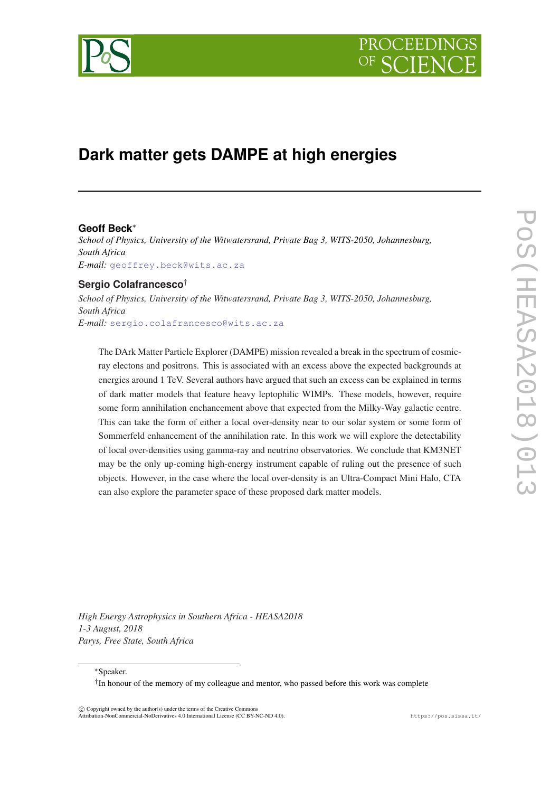



# **Dark matter gets DAMPE at high energies**

## **Geoff Beck**<sup>∗</sup>

*School of Physics, University of the Witwatersrand, Private Bag 3, WITS-2050, Johannesburg, South Africa E-mail:* [geoffrey.beck@wits.ac.za](mailto:geoffrey.beck@wits.ac.za)

# **Sergio Colafrancesco**†

*School of Physics, University of the Witwatersrand, Private Bag 3, WITS-2050, Johannesburg, South Africa E-mail:* [sergio.colafrancesco@wits.ac.za](mailto:sergio.colafrancesco@wits.ac.za)

The DArk Matter Particle Explorer (DAMPE) mission revealed a break in the spectrum of cosmicray electons and positrons. This is associated with an excess above the expected backgrounds at energies around 1 TeV. Several authors have argued that such an excess can be explained in terms of dark matter models that feature heavy leptophilic WIMPs. These models, however, require some form annihilation enchancement above that expected from the Milky-Way galactic centre. This can take the form of either a local over-density near to our solar system or some form of Sommerfeld enhancement of the annihilation rate. In this work we will explore the detectability of local over-densities using gamma-ray and neutrino observatories. We conclude that KM3NET may be the only up-coming high-energy instrument capable of ruling out the presence of such objects. However, in the case where the local over-density is an Ultra-Compact Mini Halo, CTA can also explore the parameter space of these proposed dark matter models.

*High Energy Astrophysics in Southern Africa - HEASA2018 1-3 August, 2018 Parys, Free State, South Africa*

<sup>∗</sup>Speaker.

 $\overline{c}$  Copyright owned by the author(s) under the terms of the Creative Common Attribution-NonCommercial-NoDerivatives 4.0 International License (CC BY-NC-ND 4.0). https://pos.sissa.it/

<sup>†</sup> In honour of the memory of my colleague and mentor, who passed before this work was complete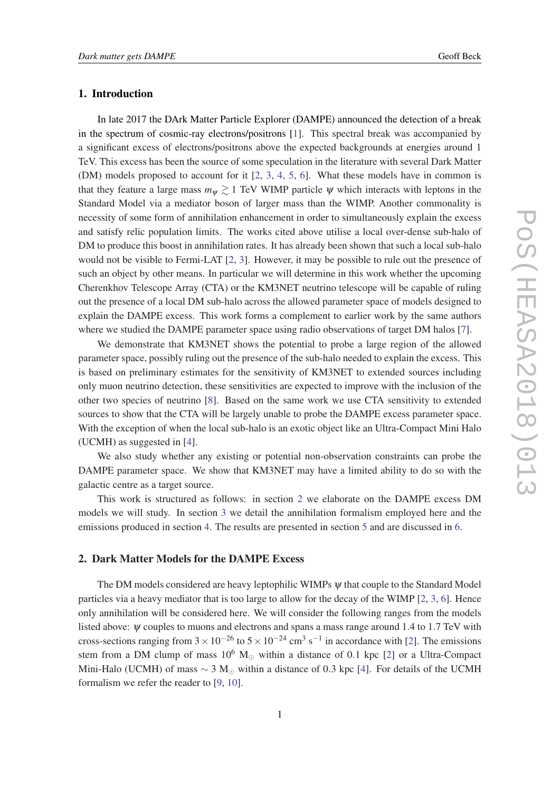## 1. Introduction

In late 2017 the DArk Matter Particle Explorer (DAMPE) announced the detection of a break in the spectrum of cosmic-ray electrons/positrons [[1](#page-5-0)]. This spectral break was accompanied by a significant excess of electrons/positrons above the expected backgrounds at energies around 1 TeV. This excess has been the source of some speculation in the literature with several Dark Matter (DM) models proposed to account for it [\[2,](#page-5-0) [3,](#page-5-0) [4,](#page-5-0) [5](#page-5-0), [6](#page-5-0)]. What these models have in common is that they feature a large mass  $m_{\psi} \gtrsim 1$  TeV WIMP particle  $\psi$  which interacts with leptons in the Standard Model via a mediator boson of larger mass than the WIMP. Another commonality is necessity of some form of annihilation enhancement in order to simultaneously explain the excess and satisfy relic population limits. The works cited above utilise a local over-dense sub-halo of DM to produce this boost in annihilation rates. It has already been shown that such a local sub-halo would not be visible to Fermi-LAT [\[2,](#page-5-0) [3\]](#page-5-0). However, it may be possible to rule out the presence of such an object by other means. In particular we will determine in this work whether the upcoming Cherenkhov Telescope Array (CTA) or the KM3NET neutrino telescope will be capable of ruling out the presence of a local DM sub-halo across the allowed parameter space of models designed to explain the DAMPE excess. This work forms a complement to earlier work by the same authors where we studied the DAMPE parameter space using radio observations of target DM halos [\[7\]](#page-5-0).

We demonstrate that KM3NET shows the potential to probe a large region of the allowed parameter space, possibly ruling out the presence of the sub-halo needed to explain the excess. This is based on preliminary estimates for the sensitivity of KM3NET to extended sources including only muon neutrino detection, these sensitivities are expected to improve with the inclusion of the other two species of neutrino [\[8](#page-5-0)]. Based on the same work we use CTA sensitivity to extended sources to show that the CTA will be largely unable to probe the DAMPE excess parameter space. With the exception of when the local sub-halo is an exotic object like an Ultra-Compact Mini Halo (UCMH) as suggested in [\[4\]](#page-5-0).

We also study whether any existing or potential non-observation constraints can probe the DAMPE parameter space. We show that KM3NET may have a limited ability to do so with the galactic centre as a target source.

This work is structured as follows: in section 2 we elaborate on the DAMPE excess DM models we will study. In section [3](#page-2-0) we detail the annihilation formalism employed here and the emissions produced in section [4.](#page-2-0) The results are presented in section [5](#page-3-0) and are discussed in [6](#page-3-0).

### 2. Dark Matter Models for the DAMPE Excess

The DM models considered are heavy leptophilic WIMPs  $\psi$  that couple to the Standard Model particles via a heavy mediator that is too large to allow for the decay of the WIMP  $[2, 3, 6]$  $[2, 3, 6]$  $[2, 3, 6]$  $[2, 3, 6]$  $[2, 3, 6]$  $[2, 3, 6]$ . Hence only annihilation will be considered here. We will consider the following ranges from the models listed above:  $\psi$  couples to muons and electrons and spans a mass range around 1.4 to 1.7 TeV with cross-sections ranging from  $3 \times 10^{-26}$  to  $5 \times 10^{-24}$  cm<sup>3</sup> s<sup>-1</sup> in accordance with [\[2\]](#page-5-0). The emissions stem from a DM clump of mass  $10^6$  M<sub> $\odot$ </sub> within a distance of 0.1 kpc [[2](#page-5-0)] or a Ultra-Compact Mini-Halo (UCMH) of mass  $\sim$  3 M<sub>☉</sub> within a distance of 0.3 kpc [\[4\]](#page-5-0). For details of the UCMH formalism we refer the reader to [[9](#page-5-0), [10](#page-5-0)].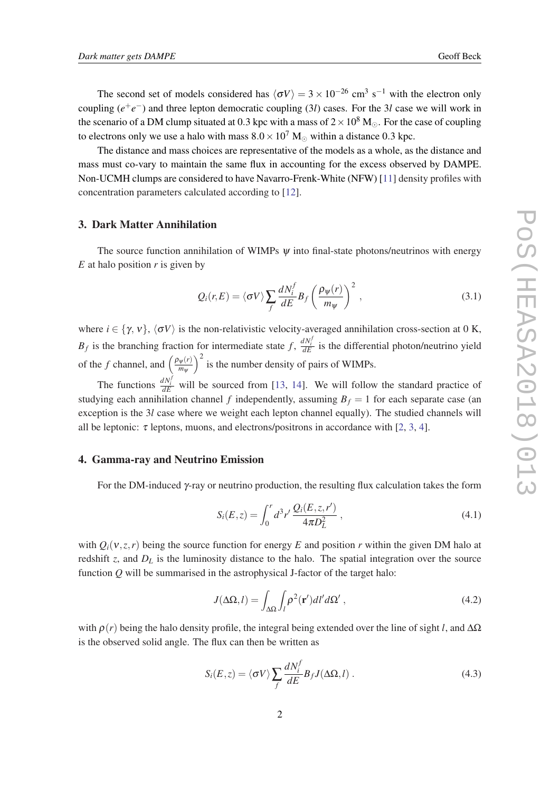<span id="page-2-0"></span>The second set of models considered has  $\langle \sigma V \rangle = 3 \times 10^{-26}$  cm<sup>3</sup> s<sup>-1</sup> with the electron only coupling  $(e^+e^-)$  and three lepton democratic coupling (3*l*) cases. For the 3*l* case we will work in the scenario of a DM clump situated at 0.3 kpc with a mass of  $2 \times 10^8$  M<sub>o</sub>. For the case of coupling to electrons only we use a halo with mass  $8.0 \times 10^7$  M<sub>o</sub> within a distance 0.3 kpc.

The distance and mass choices are representative of the models as a whole, as the distance and mass must co-vary to maintain the same flux in accounting for the excess observed by DAMPE. Non-UCMH clumps are considered to have Navarro-Frenk-White (NFW) [\[11\]](#page-5-0) density profiles with concentration parameters calculated according to [[12](#page-5-0)].

# 3. Dark Matter Annihilation

The source function annihilation of WIMPs  $\psi$  into final-state photons/neutrinos with energy *E* at halo position *r* is given by

$$
Q_i(r, E) = \langle \sigma V \rangle \sum_f \frac{dN_i^f}{dE} B_f \left( \frac{\rho_{\psi}(r)}{m_{\psi}} \right)^2, \qquad (3.1)
$$

where  $i \in \{\gamma, v\}, \langle \sigma V \rangle$  is the non-relativistic velocity-averaged annihilation cross-section at 0 K, *B<sub>f</sub>* is the branching fraction for intermediate state  $f$ ,  $\frac{dN_i^f}{dE}$  is the differential photon/neutrino yield of the *f* channel, and  $\left(\frac{\rho_{\psi}(r)}{m_{\psi}}\right)$ *m*<sup>ψ</sup>  $\int_0^2$  is the number density of pairs of WIMPs.

The functions  $\frac{dN_i^f}{dE}$  will be sourced from [\[13](#page-5-0), [14\]](#page-5-0). We will follow the standard practice of studying each annihilation channel *f* independently, assuming  $B_f = 1$  for each separate case (an exception is the 3*l* case where we weight each lepton channel equally). The studied channels will all be leptonic:  $\tau$  leptons, muons, and electrons/positrons in accordance with [[2](#page-5-0), [3](#page-5-0), [4](#page-5-0)].

# 4. Gamma-ray and Neutrino Emission

For the DM-induced γ-ray or neutrino production, the resulting flux calculation takes the form

$$
S_i(E, z) = \int_0^r d^3r' \frac{Q_i(E, z, r')}{4\pi D_L^2},
$$
\n(4.1)

with  $Q_i(v, z, r)$  being the source function for energy E and position r within the given DM halo at redshift *z*, and  $D_L$  is the luminosity distance to the halo. The spatial integration over the source function  $\hat{O}$  will be summarised in the astrophysical J-factor of the target halo:

$$
J(\Delta\Omega, l) = \int_{\Delta\Omega} \int_{l} \rho^{2}(\mathbf{r}')dl'd\Omega', \qquad (4.2)
$$

with  $\rho(r)$  being the halo density profile, the integral being extended over the line of sight *l*, and  $\Delta\Omega$ is the observed solid angle. The flux can then be written as

$$
S_i(E, z) = \langle \sigma V \rangle \sum_f \frac{dN_i^f}{dE} B_f J(\Delta \Omega, l) \,. \tag{4.3}
$$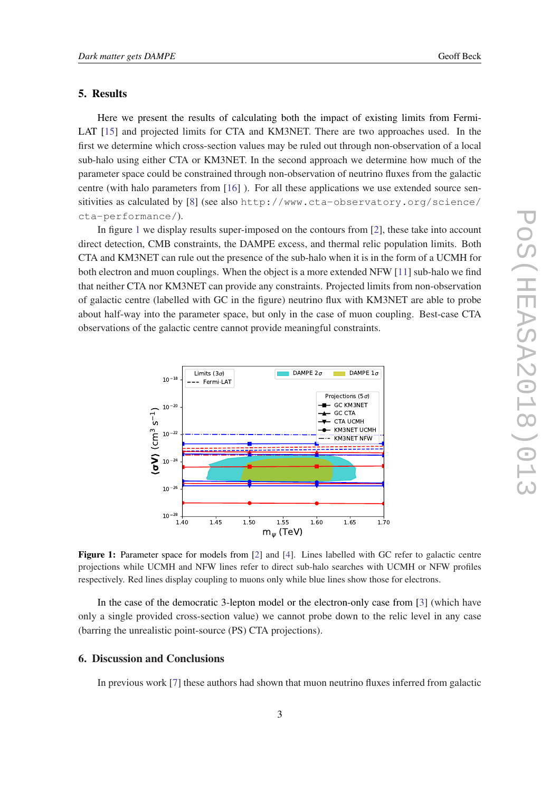#### <span id="page-3-0"></span>5. Results

Here we present the results of calculating both the impact of existing limits from Fermi-LAT [\[15\]](#page-5-0) and projected limits for CTA and KM3NET. There are two approaches used. In the first we determine which cross-section values may be ruled out through non-observation of a local sub-halo using either CTA or KM3NET. In the second approach we determine how much of the parameter space could be constrained through non-observation of neutrino fluxes from the galactic centre (with halo parameters from [\[16](#page-5-0)] ). For all these applications we use extended source sensitivities as calculated by [[8](#page-5-0)] (see also http://www.cta-observatory.org/science/ cta-performance/).

In figure 1 we display results super-imposed on the contours from [[2](#page-5-0)], these take into account direct detection, CMB constraints, the DAMPE excess, and thermal relic population limits. Both CTA and KM3NET can rule out the presence of the sub-halo when it is in the form of a UCMH for both electron and muon couplings. When the object is a more extended NFW [\[11\]](#page-5-0) sub-halo we find that neither CTA nor KM3NET can provide any constraints. Projected limits from non-observation of galactic centre (labelled with GC in the figure) neutrino flux with KM3NET are able to probe about half-way into the parameter space, but only in the case of muon coupling. Best-case CTA observations of the galactic centre cannot provide meaningful constraints.



Figure 1: Parameter space for models from [[2\]](#page-5-0) and [[4\]](#page-5-0). Lines labelled with GC refer to galactic centre projections while UCMH and NFW lines refer to direct sub-halo searches with UCMH or NFW profiles respectively. Red lines display coupling to muons only while blue lines show those for electrons.

In the case of the democratic 3-lepton model or the electron-only case from [[3](#page-5-0)] (which have only a single provided cross-section value) we cannot probe down to the relic level in any case (barring the unrealistic point-source (PS) CTA projections).

# 6. Discussion and Conclusions

In previous work [[7](#page-5-0)] these authors had shown that muon neutrino fluxes inferred from galactic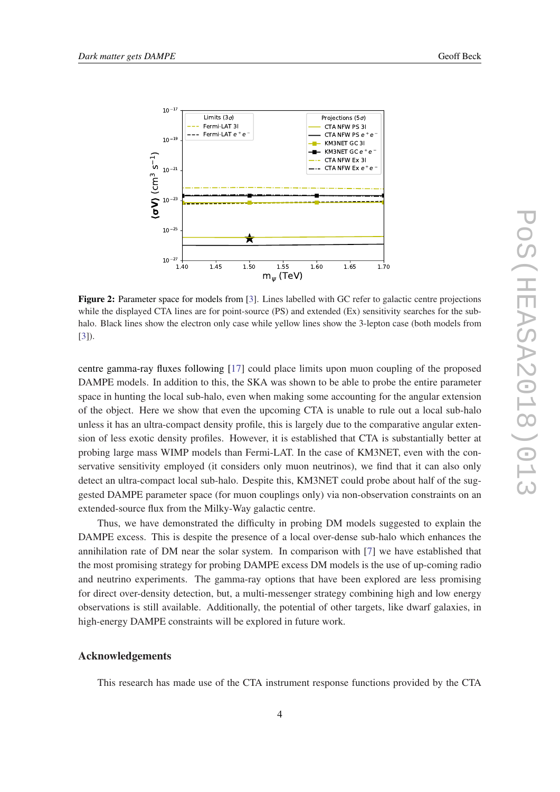

Figure 2: Parameter space for models from [[3\]](#page-5-0). Lines labelled with GC refer to galactic centre projections while the displayed CTA lines are for point-source (PS) and extended (Ex) sensitivity searches for the subhalo. Black lines show the electron only case while yellow lines show the 3-lepton case (both models from [[3\]](#page-5-0)).

centre gamma-ray fluxes following [[17\]](#page-5-0) could place limits upon muon coupling of the proposed DAMPE models. In addition to this, the SKA was shown to be able to probe the entire parameter space in hunting the local sub-halo, even when making some accounting for the angular extension of the object. Here we show that even the upcoming CTA is unable to rule out a local sub-halo unless it has an ultra-compact density profile, this is largely due to the comparative angular extension of less exotic density profiles. However, it is established that CTA is substantially better at probing large mass WIMP models than Fermi-LAT. In the case of KM3NET, even with the conservative sensitivity employed (it considers only muon neutrinos), we find that it can also only detect an ultra-compact local sub-halo. Despite this, KM3NET could probe about half of the suggested DAMPE parameter space (for muon couplings only) via non-observation constraints on an extended-source flux from the Milky-Way galactic centre.

Thus, we have demonstrated the difficulty in probing DM models suggested to explain the DAMPE excess. This is despite the presence of a local over-dense sub-halo which enhances the annihilation rate of DM near the solar system. In comparison with [\[7\]](#page-5-0) we have established that the most promising strategy for probing DAMPE excess DM models is the use of up-coming radio and neutrino experiments. The gamma-ray options that have been explored are less promising for direct over-density detection, but, a multi-messenger strategy combining high and low energy observations is still available. Additionally, the potential of other targets, like dwarf galaxies, in high-energy DAMPE constraints will be explored in future work.

## Acknowledgements

This research has made use of the CTA instrument response functions provided by the CTA